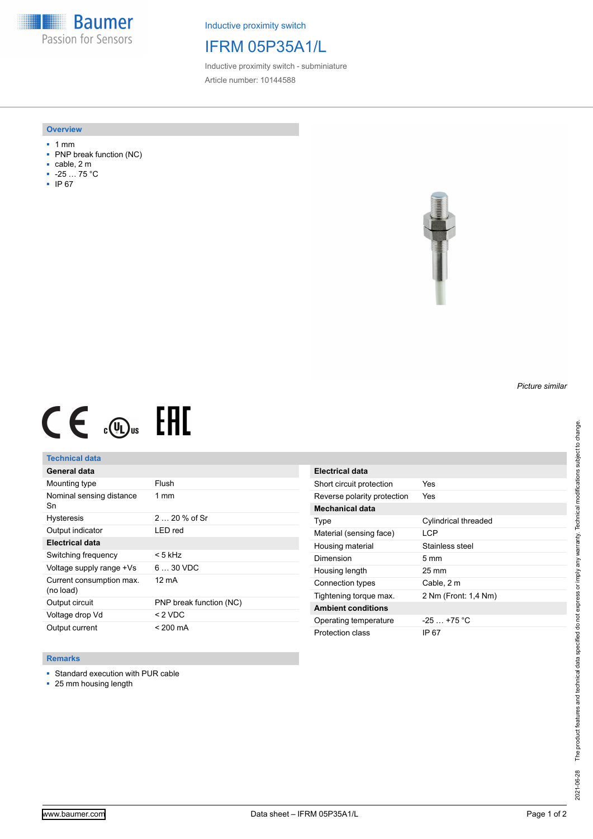**Baumer** Passion for Sensors

Inductive proximity switch

## IFRM 05P35A1/L

Inductive proximity switch - subminiature Article number: 10144588

#### **Overview**

- 1 mm
- PNP break function (NC)
- cable, 2 m
- -25 … 75 °C
- IP 67



# $C \in \mathbb{R}$  or  $H$

### **Technical data**

| General data                          |                         |
|---------------------------------------|-------------------------|
| Mounting type                         | Flush                   |
| Nominal sensing distance<br>Sn        | $1 \text{ mm}$          |
| <b>Hysteresis</b>                     | $220%$ of Sr            |
| Output indicator                      | LED red                 |
| <b>Electrical data</b>                |                         |
| Switching frequency                   | < 5 kHz                 |
| Voltage supply range +Vs              | $630$ VDC               |
| Current consumption max.<br>(no load) | 12 mA                   |
| Output circuit                        | PNP break function (NC) |
| Voltage drop Vd                       | < 2 VDC                 |
| Output current                        | < 200 mA                |

#### **Remarks**

- Standard execution with PUR cable
- 25 mm housing length

**Electrical data** Short circuit protection Yes Reverse polarity protection Yes **Mechanical data** Type Cylindrical threaded Material (sensing face) LCP Housing material Stainless steel Dimension 5 mm Housing length 25 mm Connection types Cable, 2 m Tightening torque max. 2 Nm (Front: 1,4 Nm) **Ambient conditions** Operating temperature -25 ... +75 °C Protection class IP 67

*Picture similar*